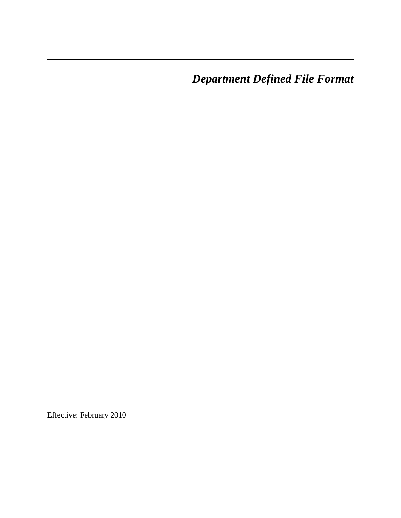*Department Defined File Format* 

Effective: February 2010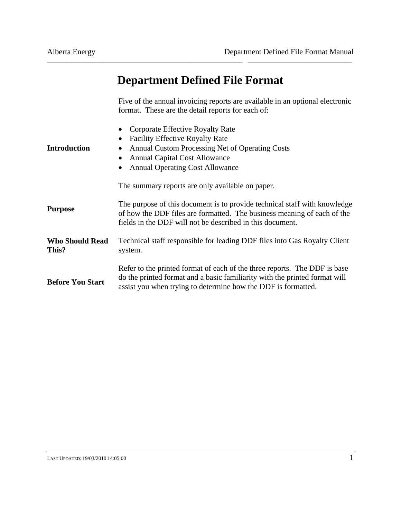# **Department Defined File Format**

\_\_\_\_\_\_\_\_\_\_\_\_\_\_\_\_\_\_\_\_\_\_\_\_\_\_\_\_\_\_\_\_\_\_\_\_\_\_\_\_\_\_\_\_\_\_\_\_\_\_\_\_\_\_\_\_\_\_\_\_ \_\_\_\_\_\_\_\_\_\_\_\_\_\_\_\_\_\_\_\_\_\_\_\_\_\_\_\_\_\_\_\_

Five of the annual invoicing reports are available in an optional electronic format. These are the detail reports for each of:

| <b>Introduction</b>             | Corporate Effective Royalty Rate<br><b>Facility Effective Royalty Rate</b><br>٠<br>Annual Custom Processing Net of Operating Costs<br>$\bullet$<br><b>Annual Capital Cost Allowance</b><br>$\bullet$<br><b>Annual Operating Cost Allowance</b> |
|---------------------------------|------------------------------------------------------------------------------------------------------------------------------------------------------------------------------------------------------------------------------------------------|
|                                 | The summary reports are only available on paper.                                                                                                                                                                                               |
| <b>Purpose</b>                  | The purpose of this document is to provide technical staff with knowledge<br>of how the DDF files are formatted. The business meaning of each of the<br>fields in the DDF will not be described in this document.                              |
| <b>Who Should Read</b><br>This? | Technical staff responsible for leading DDF files into Gas Royalty Client<br>system.                                                                                                                                                           |
| <b>Before You Start</b>         | Refer to the printed format of each of the three reports. The DDF is base<br>do the printed format and a basic familiarity with the printed format will<br>assist you when trying to determine how the DDF is formatted.                       |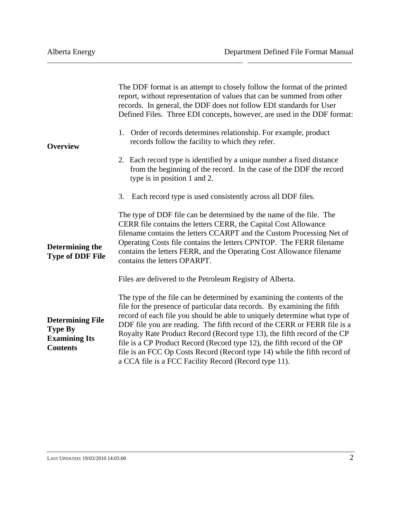| <b>Overview</b>                                                                      | The DDF format is an attempt to closely follow the format of the printed<br>report, without representation of values that can be summed from other<br>records. In general, the DDF does not follow EDI standards for User<br>Defined Files. Three EDI concepts, however, are used in the DDF format:<br>Order of records determines relationship. For example, product<br>1.<br>records follow the facility to which they refer.<br>2. Each record type is identified by a unique number a fixed distance<br>from the beginning of the record. In the case of the DDF the record<br>type is in position 1 and 2.<br>3. Each record type is used consistently across all DDF files. |  |  |  |  |
|--------------------------------------------------------------------------------------|------------------------------------------------------------------------------------------------------------------------------------------------------------------------------------------------------------------------------------------------------------------------------------------------------------------------------------------------------------------------------------------------------------------------------------------------------------------------------------------------------------------------------------------------------------------------------------------------------------------------------------------------------------------------------------|--|--|--|--|
| Determining the<br><b>Type of DDF File</b>                                           | The type of DDF file can be determined by the name of the file. The<br>CERR file contains the letters CERR, the Capital Cost Allowance<br>filename contains the letters CCARPT and the Custom Processing Net of<br>Operating Costs file contains the letters CPNTOP. The FERR filename<br>contains the letters FERR, and the Operating Cost Allowance filename<br>contains the letters OPARPT.<br>Files are delivered to the Petroleum Registry of Alberta.                                                                                                                                                                                                                        |  |  |  |  |
| <b>Determining File</b><br><b>Type By</b><br><b>Examining Its</b><br><b>Contents</b> | The type of the file can be determined by examining the contents of the<br>file for the presence of particular data records. By examining the fifth<br>record of each file you should be able to uniquely determine what type of<br>DDF file you are reading. The fifth record of the CERR or FERR file is a<br>Royalty Rate Product Record (Record type 13), the fifth record of the CP<br>file is a CP Product Record (Record type 12), the fifth record of the OP<br>file is an FCC Op Costs Record (Record type 14) while the fifth record of<br>a CCA file is a FCC Facility Record (Record type 11).                                                                         |  |  |  |  |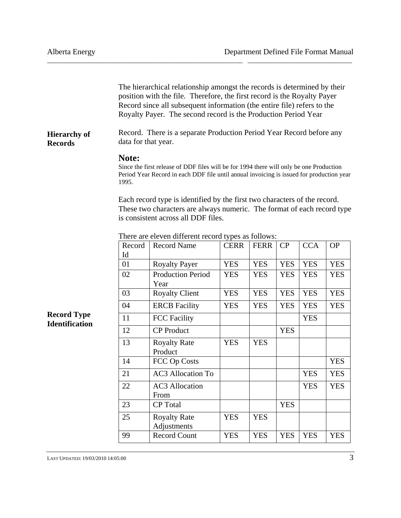|                                       | The hierarchical relationship amongst the records is determined by their<br>position with the file. Therefore, the first record is the Royalty Payer<br>Record since all subsequent information (the entire file) refers to the<br>Royalty Payer. The second record is the Production Period Year |                                                                                                                                                                                     |             |             |            |            |            |  |
|---------------------------------------|---------------------------------------------------------------------------------------------------------------------------------------------------------------------------------------------------------------------------------------------------------------------------------------------------|-------------------------------------------------------------------------------------------------------------------------------------------------------------------------------------|-------------|-------------|------------|------------|------------|--|
| <b>Hierarchy of</b><br><b>Records</b> | Record. There is a separate Production Period Year Record before any<br>data for that year.                                                                                                                                                                                                       |                                                                                                                                                                                     |             |             |            |            |            |  |
|                                       | Note:<br>1995.                                                                                                                                                                                                                                                                                    | Since the first release of DDF files will be for 1994 there will only be one Production<br>Period Year Record in each DDF file until annual invoicing is issued for production year |             |             |            |            |            |  |
|                                       | Each record type is identified by the first two characters of the record.<br>These two characters are always numeric. The format of each record type<br>is consistent across all DDF files.                                                                                                       |                                                                                                                                                                                     |             |             |            |            |            |  |
|                                       | Record                                                                                                                                                                                                                                                                                            | There are eleven different record types as follows:<br><b>Record Name</b>                                                                                                           | <b>CERR</b> | <b>FERR</b> | CP         | <b>CCA</b> | <b>OP</b>  |  |
|                                       | Id<br>01                                                                                                                                                                                                                                                                                          | <b>Royalty Payer</b>                                                                                                                                                                | <b>YES</b>  | <b>YES</b>  | <b>YES</b> | <b>YES</b> | <b>YES</b> |  |
|                                       | 02                                                                                                                                                                                                                                                                                                | <b>Production Period</b><br>Year                                                                                                                                                    | <b>YES</b>  | <b>YES</b>  | <b>YES</b> | <b>YES</b> | <b>YES</b> |  |
|                                       | 03                                                                                                                                                                                                                                                                                                | <b>Royalty Client</b>                                                                                                                                                               | <b>YES</b>  | <b>YES</b>  | <b>YES</b> | <b>YES</b> | <b>YES</b> |  |
|                                       | 04                                                                                                                                                                                                                                                                                                | <b>ERCB</b> Facility                                                                                                                                                                | <b>YES</b>  | <b>YES</b>  | <b>YES</b> | <b>YES</b> | <b>YES</b> |  |
| <b>Record Type</b>                    | 11                                                                                                                                                                                                                                                                                                | <b>FCC Facility</b>                                                                                                                                                                 |             |             |            | <b>YES</b> |            |  |
| <b>Identification</b>                 | 12                                                                                                                                                                                                                                                                                                | <b>CP</b> Product                                                                                                                                                                   |             |             | <b>YES</b> |            |            |  |
|                                       | 13                                                                                                                                                                                                                                                                                                | <b>Royalty Rate</b><br>Product                                                                                                                                                      | <b>YES</b>  | <b>YES</b>  |            |            |            |  |
|                                       | 14                                                                                                                                                                                                                                                                                                | FCC Op Costs                                                                                                                                                                        |             |             |            |            | <b>YES</b> |  |
|                                       | $21\,$                                                                                                                                                                                                                                                                                            | <b>AC3</b> Allocation To                                                                                                                                                            |             |             |            | <b>YES</b> | <b>YES</b> |  |
|                                       | 22                                                                                                                                                                                                                                                                                                | <b>AC3</b> Allocation<br>From                                                                                                                                                       |             |             |            | <b>YES</b> | <b>YES</b> |  |
|                                       | 23                                                                                                                                                                                                                                                                                                | CP Total                                                                                                                                                                            |             |             | <b>YES</b> |            |            |  |
|                                       | 25                                                                                                                                                                                                                                                                                                | <b>Royalty Rate</b><br>Adjustments                                                                                                                                                  | <b>YES</b>  | <b>YES</b>  |            |            |            |  |
|                                       | 99                                                                                                                                                                                                                                                                                                | Record Count                                                                                                                                                                        | <b>YES</b>  | <b>YES</b>  | <b>YES</b> | <b>YES</b> | <b>YES</b> |  |

 $\frac{1}{3}$  LAST UPDATED: 19/03/2010 14:05:00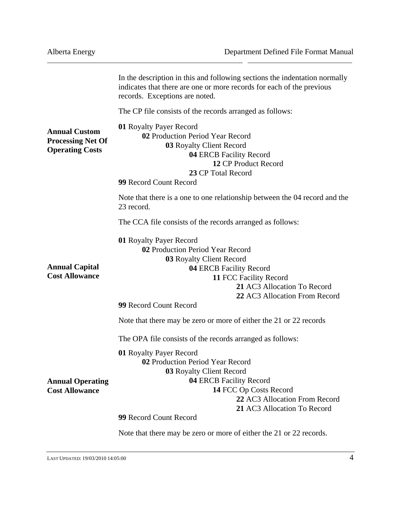|                                                                            | In the description in this and following sections the indentation normally<br>indicates that there are one or more records for each of the previous<br>records. Exceptions are noted.                                                                                                                        |  |  |  |
|----------------------------------------------------------------------------|--------------------------------------------------------------------------------------------------------------------------------------------------------------------------------------------------------------------------------------------------------------------------------------------------------------|--|--|--|
|                                                                            | The CP file consists of the records arranged as follows:                                                                                                                                                                                                                                                     |  |  |  |
| <b>Annual Custom</b><br><b>Processing Net Of</b><br><b>Operating Costs</b> | 01 Royalty Payer Record<br>02 Production Period Year Record<br>03 Royalty Client Record<br>04 ERCB Facility Record<br>12 CP Product Record<br>23 CP Total Record<br>99 Record Count Record                                                                                                                   |  |  |  |
|                                                                            | Note that there is a one to one relationship between the 04 record and the<br>23 record.                                                                                                                                                                                                                     |  |  |  |
|                                                                            | The CCA file consists of the records arranged as follows:                                                                                                                                                                                                                                                    |  |  |  |
| <b>Annual Capital</b><br><b>Cost Allowance</b>                             | 01 Royalty Payer Record<br>02 Production Period Year Record<br>03 Royalty Client Record<br>04 ERCB Facility Record<br>11 FCC Facility Record<br>21 AC3 Allocation To Record<br>22 AC3 Allocation From Record<br>99 Record Count Record<br>Note that there may be zero or more of either the 21 or 22 records |  |  |  |
|                                                                            | The OPA file consists of the records arranged as follows:                                                                                                                                                                                                                                                    |  |  |  |
| <b>Annual Operating</b><br><b>Cost Allowance</b>                           | 01 Royalty Payer Record<br>02 Production Period Year Record<br>03 Royalty Client Record<br>04 ERCB Facility Record<br>14 FCC Op Costs Record<br>22 AC3 Allocation From Record<br>21 AC3 Allocation To Record<br>99 Record Count Record                                                                       |  |  |  |
|                                                                            | Note that there may be zero or more of either the 21 or 22 records.                                                                                                                                                                                                                                          |  |  |  |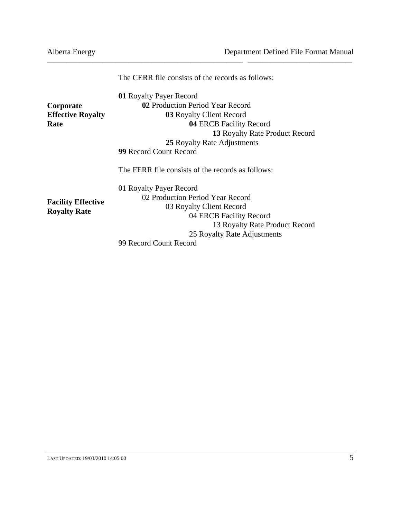|                           | The CERR file consists of the records as follows: |  |  |  |  |
|---------------------------|---------------------------------------------------|--|--|--|--|
|                           | 01 Royalty Payer Record                           |  |  |  |  |
| Corporate                 | 02 Production Period Year Record                  |  |  |  |  |
| <b>Effective Royalty</b>  | 03 Royalty Client Record                          |  |  |  |  |
| Rate                      | 04 ERCB Facility Record                           |  |  |  |  |
|                           | 13 Royalty Rate Product Record                    |  |  |  |  |
|                           | 25 Royalty Rate Adjustments                       |  |  |  |  |
|                           | <b>99 Record Count Record</b>                     |  |  |  |  |
|                           | The FERR file consists of the records as follows: |  |  |  |  |
|                           | 01 Royalty Payer Record                           |  |  |  |  |
|                           | 02 Production Period Year Record                  |  |  |  |  |
| <b>Facility Effective</b> | 03 Royalty Client Record                          |  |  |  |  |
| <b>Royalty Rate</b>       | 04 ERCB Facility Record                           |  |  |  |  |
|                           | 13 Royalty Rate Product Record                    |  |  |  |  |
|                           | 25 Royalty Rate Adjustments                       |  |  |  |  |
|                           | 99 Record Count Record                            |  |  |  |  |
|                           |                                                   |  |  |  |  |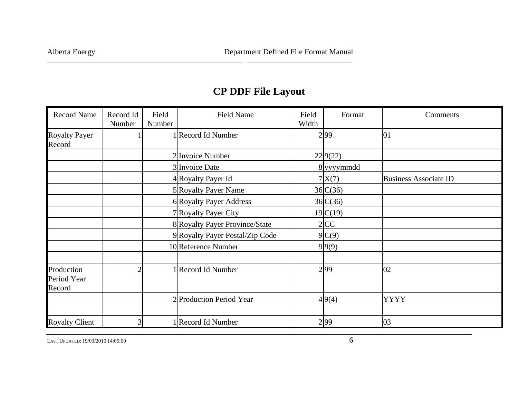# **CP DDF File Layout**

\_\_\_\_\_\_\_\_\_\_\_\_\_\_\_\_\_\_\_\_\_\_\_\_\_\_\_\_\_\_\_\_\_\_\_\_\_\_\_\_\_\_\_\_\_\_\_\_\_\_\_\_\_\_\_\_\_\_\_\_ \_\_\_\_\_\_\_\_\_\_\_\_\_\_\_\_\_\_\_\_\_\_\_\_\_\_\_\_\_\_\_\_

| <b>Record Name</b>                  | Record Id<br>Number | Field<br>Number | <b>Field Name</b>               | Field<br>Width | Format     | Comments                     |
|-------------------------------------|---------------------|-----------------|---------------------------------|----------------|------------|------------------------------|
| <b>Royalty Payer</b><br>Record      |                     |                 | 1 Record Id Number              |                | 299        | 01                           |
|                                     |                     |                 | 2 Invoice Number                |                | 22 9(22)   |                              |
|                                     |                     |                 | 3 Invoice Date                  |                | 8 yyyymmdd |                              |
|                                     |                     |                 | 4 Royalty Payer Id              |                | 7X(7)      | <b>Business Associate ID</b> |
|                                     |                     |                 | 5 Royalty Payer Name            |                | 36 C(36)   |                              |
|                                     |                     |                 | 6 Royalty Payer Address         |                | 36 C(36)   |                              |
|                                     |                     |                 | 7 Royalty Payer City            |                | 19 C(19)   |                              |
|                                     |                     |                 | 8 Royalty Payer Province/State  |                | 2 CC       |                              |
|                                     |                     |                 | 9 Royalty Payer Postal/Zip Code |                | 9C(9)      |                              |
|                                     |                     |                 | 10 Reference Number             |                | 9 9(9)     |                              |
| Production<br>Period Year<br>Record |                     |                 | 1 Record Id Number              |                | 2 99       | 02                           |
|                                     |                     |                 | 2 Production Period Year        |                | 4 9(4)     | <b>YYYY</b>                  |
|                                     |                     |                 |                                 |                |            |                              |
| <b>Royalty Client</b>               |                     |                 | 1 Record Id Number              |                | 2 99       | 03                           |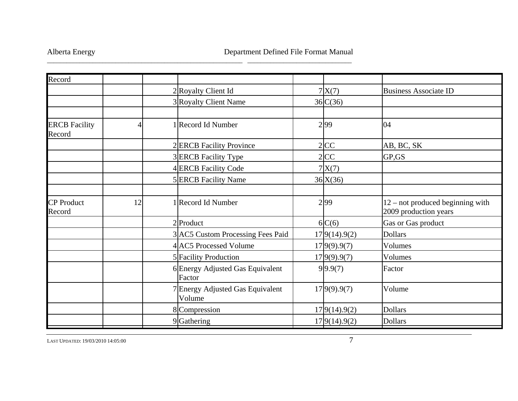\_\_\_\_\_\_\_\_\_\_\_\_\_\_\_\_\_\_\_\_\_\_\_\_\_\_\_\_\_\_\_\_\_\_\_\_\_\_\_\_\_\_\_\_\_\_\_\_\_\_\_\_\_\_\_\_\_\_\_\_ \_\_\_\_\_\_\_\_\_\_\_\_\_\_\_\_\_\_\_\_\_\_\_\_\_\_\_\_\_\_\_\_

| Record                         |    |                                            |               |                                                             |
|--------------------------------|----|--------------------------------------------|---------------|-------------------------------------------------------------|
|                                |    | 2 Royalty Client Id                        | 7X(7)         | <b>Business Associate ID</b>                                |
|                                |    | 3 Royalty Client Name                      | $36$ C $(36)$ |                                                             |
|                                |    |                                            |               |                                                             |
| <b>ERCB</b> Facility<br>Record | 4  | 1 Record Id Number                         | 2 99          | 04                                                          |
|                                |    | 2 ERCB Facility Province                   | $2$ CC        | AB, BC, SK                                                  |
|                                |    | 3 ERCB Facility Type                       | $2$ CC        | GP,GS                                                       |
|                                |    | 4 ERCB Facility Code                       | 7X(7)         |                                                             |
|                                |    | 5 ERCB Facility Name                       | 36X(36)       |                                                             |
|                                |    |                                            |               |                                                             |
| <b>CP</b> Product<br>Record    | 12 | 1 Record Id Number                         | 2 99          | $12$ – not produced beginning with<br>2009 production years |
|                                |    | $2$ Product                                | 6C(6)         | Gas or Gas product                                          |
|                                |    | 3 AC5 Custom Processing Fees Paid          | 17 9(14).9(2) | <b>Dollars</b>                                              |
|                                |    | 4 AC5 Processed Volume                     | 17 9(9).9(7)  | Volumes                                                     |
|                                |    | 5 Facility Production                      | 17 9(9).9(7)  | Volumes                                                     |
|                                |    | 6 Energy Adjusted Gas Equivalent<br>Factor | 9 9.9(7)      | Factor                                                      |
|                                |    | 7 Energy Adjusted Gas Equivalent<br>Volume | 17 9(9).9(7)  | Volume                                                      |
|                                |    | 8 Compression                              | 17 9(14).9(2) | <b>Dollars</b>                                              |
|                                |    | 9 Gathering                                | 17 9(14).9(2) | <b>Dollars</b>                                              |

LAST UPDATED: 19/03/20100.14:05:00  $\frac{7}{7}$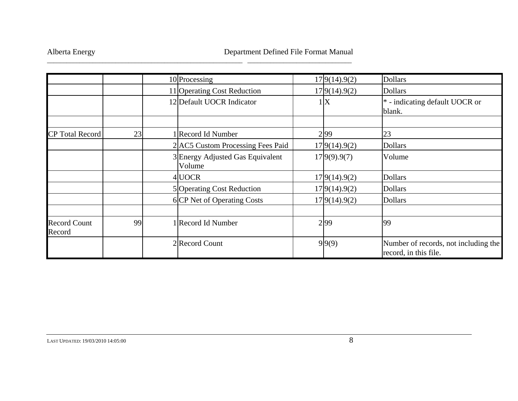|                               |    | 10 Processing                              | 17 9(14).9(2)  | <b>Dollars</b>                                                |
|-------------------------------|----|--------------------------------------------|----------------|---------------------------------------------------------------|
|                               |    | 11 Operating Cost Reduction                | 17 9(14).9(2)  | <b>Dollars</b>                                                |
|                               |    | 12 Default UOCR Indicator                  | $\mathbf{X}$   | $*$ - indicating default UOCR or<br>blank.                    |
|                               |    |                                            |                |                                                               |
| <b>CP</b> Total Record        | 23 | 1 Record Id Number                         | 299            | 23                                                            |
|                               |    | 2 AC5 Custom Processing Fees Paid          | 17 9(14).9(2)  | <b>Dollars</b>                                                |
|                               |    | 3 Energy Adjusted Gas Equivalent<br>Volume | 17 9(9) . 9(7) | Volume                                                        |
|                               |    | 4 UOCR                                     | 17 9(14).9(2)  | <b>Dollars</b>                                                |
|                               |    | 5 Operating Cost Reduction                 | 17 9(14).9(2)  | <b>Dollars</b>                                                |
|                               |    | 6 CP Net of Operating Costs                | 17 9(14).9(2)  | <b>Dollars</b>                                                |
| <b>Record Count</b><br>Record | 99 | 1 Record Id Number                         | 299            | 99                                                            |
|                               |    | 2 Record Count                             | 9 9(9)         | Number of records, not including the<br>record, in this file. |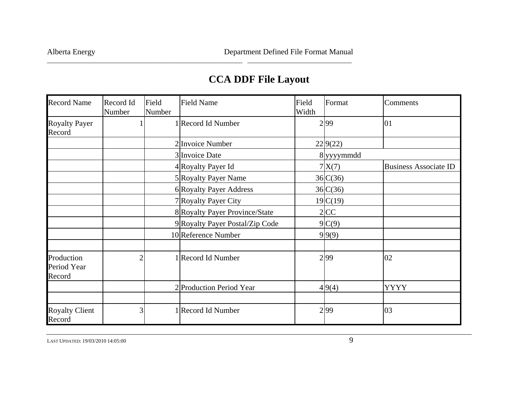## **CCA DDF File Layout**

\_\_\_\_\_\_\_\_\_\_\_\_\_\_\_\_\_\_\_\_\_\_\_\_\_\_\_\_\_\_\_\_\_\_\_\_\_\_\_\_\_\_\_\_\_\_\_\_\_\_\_\_\_\_\_\_\_\_\_\_ \_\_\_\_\_\_\_\_\_\_\_\_\_\_\_\_\_\_\_\_\_\_\_\_\_\_\_\_\_\_\_\_

| <b>Record Name</b>                  | Record Id<br>Number | Field<br>Number | <b>Field Name</b>               | Field<br>Width | Format     | Comments                     |
|-------------------------------------|---------------------|-----------------|---------------------------------|----------------|------------|------------------------------|
| <b>Royalty Payer</b><br>Record      |                     |                 | 1 Record Id Number              |                | 2 99       | 01                           |
|                                     |                     |                 | 2 Invoice Number                |                | 22 9(22)   |                              |
|                                     |                     |                 | 3 Invoice Date                  |                | 8 yyyymmdd |                              |
|                                     |                     |                 | 4 Royalty Payer Id              |                | 7X(7)      | <b>Business Associate ID</b> |
|                                     |                     |                 | 5 Royalty Payer Name            |                | 36C(36)    |                              |
|                                     |                     |                 | 6 Royalty Payer Address         |                | 36C(36)    |                              |
|                                     |                     |                 | 7 Royalty Payer City            |                | 19C(19)    |                              |
|                                     |                     |                 | 8 Royalty Payer Province/State  |                | 2 CC       |                              |
|                                     |                     |                 | 9 Royalty Payer Postal/Zip Code |                | 9C(9)      |                              |
|                                     |                     |                 | 10 Reference Number             |                | 9 9(9)     |                              |
| Production<br>Period Year<br>Record | っ                   |                 | 1 Record Id Number              |                | 2 99       | 02                           |
|                                     |                     |                 | 2 Production Period Year        |                | 4 9(4)     | <b>YYYY</b>                  |
|                                     |                     |                 |                                 |                |            |                              |
| <b>Royalty Client</b><br>Record     | 3                   |                 | 1 Record Id Number              |                | 299        | 03                           |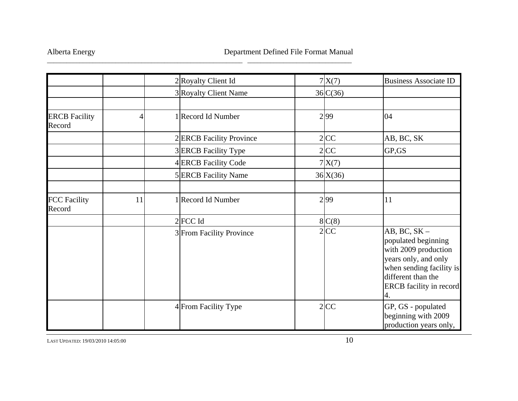|                                |    | 2 Royalty Client Id      | 7X(7)    | <b>Business Associate ID</b>                                                                                                                                             |
|--------------------------------|----|--------------------------|----------|--------------------------------------------------------------------------------------------------------------------------------------------------------------------------|
|                                |    | 3 Royalty Client Name    | 36 C(36) |                                                                                                                                                                          |
| <b>ERCB</b> Facility<br>Record | 4  | 1 Record Id Number       | 2 99     | 04                                                                                                                                                                       |
|                                |    | 2 ERCB Facility Province | $2$ CC   | AB, BC, SK                                                                                                                                                               |
|                                |    | 3 ERCB Facility Type     | 2 CC     | GP,GS                                                                                                                                                                    |
|                                |    | 4 ERCB Facility Code     | 7X(7)    |                                                                                                                                                                          |
|                                |    | 5 ERCB Facility Name     | 36 X(36) |                                                                                                                                                                          |
| <b>FCC Facility</b><br>Record  | 11 | 1 Record Id Number       | 299      | 11                                                                                                                                                                       |
|                                |    | $2$ FCC Id               | 8C(8)    |                                                                                                                                                                          |
|                                |    | 3 From Facility Province | $2$ CC   | $AB, BC, SK -$<br>populated beginning<br>with 2009 production<br>years only, and only<br>when sending facility is<br>different than the<br>ERCB facility in record<br>4. |
|                                |    | 4 From Facility Type     | $2$ CC   | GP, GS - populated<br>beginning with 2009<br>production years only,                                                                                                      |

\_\_\_\_\_\_\_\_\_\_\_\_\_\_\_\_\_\_\_\_\_\_\_\_\_\_\_\_\_\_\_\_\_\_\_\_\_\_\_\_\_\_\_\_\_\_\_\_\_\_\_\_\_\_\_\_\_\_\_\_ \_\_\_\_\_\_\_\_\_\_\_\_\_\_\_\_\_\_\_\_\_\_\_\_\_\_\_\_\_\_\_\_

LAST UPDATED: 19/03/20100.14:05:00 10.14:05:00 10.14:05:00 10.14:05:00 10.14:05:00 10.14:05:00 10.14:05:00 10.14:05:00 10.14:05:00 10.14:05:00 10.14:05:00 10.14:05:00 10.14:05:00 10.14:05:00 10.14:05:00 10.14:05:00 10.14:05:00 10.14:05:00 10.14: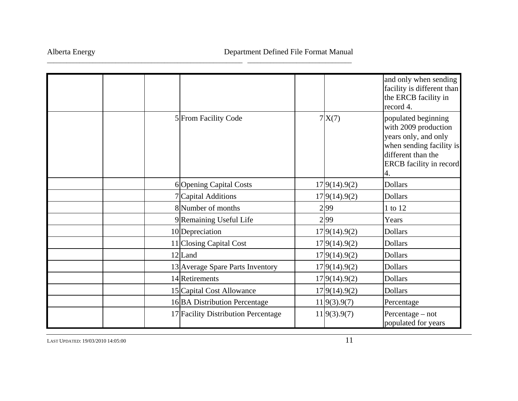|  |                                     |               | and only when sending<br>facility is different than<br>the ERCB facility in<br>record 4.                                                         |
|--|-------------------------------------|---------------|--------------------------------------------------------------------------------------------------------------------------------------------------|
|  | 5 From Facility Code                | 7X(7)         | populated beginning<br>with 2009 production<br>years only, and only<br>when sending facility is<br>different than the<br>ERCB facility in record |
|  | 6 Opening Capital Costs             | 17 9(14).9(2) | <b>Dollars</b>                                                                                                                                   |
|  | 7 Capital Additions                 | 17 9(14).9(2) | <b>Dollars</b>                                                                                                                                   |
|  | 8 Number of months                  | 2 99          | 1 to 12                                                                                                                                          |
|  | 9Remaining Useful Life              | 2 99          | Years                                                                                                                                            |
|  | 10 Depreciation                     | 17 9(14).9(2) | <b>Dollars</b>                                                                                                                                   |
|  | 11 Closing Capital Cost             | 17 9(14).9(2) | <b>Dollars</b>                                                                                                                                   |
|  | 12 Land                             | 17 9(14).9(2) | <b>Dollars</b>                                                                                                                                   |
|  | 13 Average Spare Parts Inventory    | 17 9(14).9(2) | <b>Dollars</b>                                                                                                                                   |
|  | 14 Retirements                      | 17 9(14).9(2) | <b>Dollars</b>                                                                                                                                   |
|  | 15 Capital Cost Allowance           | 17 9(14).9(2) | <b>Dollars</b>                                                                                                                                   |
|  | 16 BA Distribution Percentage       | 11 9(3).9(7)  | Percentage                                                                                                                                       |
|  | 17 Facility Distribution Percentage | 11 9(3).9(7)  | Percentage $-$ not<br>populated for years                                                                                                        |

\_\_\_\_\_\_\_\_\_\_\_\_\_\_\_\_\_\_\_\_\_\_\_\_\_\_\_\_\_\_\_\_\_\_\_\_\_\_\_\_\_\_\_\_\_\_\_\_\_\_\_\_\_\_\_\_\_\_\_\_ \_\_\_\_\_\_\_\_\_\_\_\_\_\_\_\_\_\_\_\_\_\_\_\_\_\_\_\_\_\_\_\_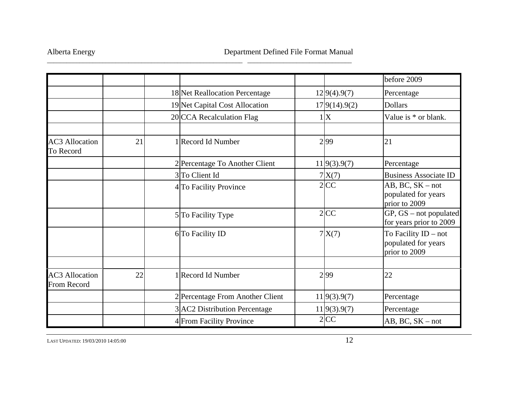|                                      |    |                                  |               | before 2009                                                  |
|--------------------------------------|----|----------------------------------|---------------|--------------------------------------------------------------|
|                                      |    | 18 Net Reallocation Percentage   | 12 9(4).9(7)  | Percentage                                                   |
|                                      |    | 19 Net Capital Cost Allocation   | 17 9(14).9(2) | <b>Dollars</b>                                               |
|                                      |    | 20 CCA Recalculation Flag        | 1X            | Value is * or blank.                                         |
| <b>AC3</b> Allocation<br>To Record   | 21 | 1 Record Id Number               | 2 99          | 21                                                           |
|                                      |    | 2 Percentage To Another Client   | 11 9(3).9(7)  | Percentage                                                   |
|                                      |    | 3 To Client Id                   | 7X(7)         | <b>Business Associate ID</b>                                 |
|                                      |    | 4 To Facility Province           | $2$ CC        | $AB, BC, SK - not$<br>populated for years<br>prior to 2009   |
|                                      |    | 5 To Facility Type               | $2$ CC        | $GP, GS - not populated$<br>for years prior to 2009          |
|                                      |    | 6 To Facility ID                 | 7X(7)         | To Facility ID – not<br>populated for years<br>prior to 2009 |
|                                      |    |                                  |               |                                                              |
| <b>AC3</b> Allocation<br>From Record | 22 | 1 Record Id Number               | 2 99          | 22                                                           |
|                                      |    | 2 Percentage From Another Client | 11 9(3).9(7)  | Percentage                                                   |
|                                      |    | 3 AC2 Distribution Percentage    | 11 9(3).9(7)  | Percentage                                                   |
|                                      |    | 4 From Facility Province         | $2$ CC        | $AB, BC, SK - not$                                           |

\_\_\_\_\_\_\_\_\_\_\_\_\_\_\_\_\_\_\_\_\_\_\_\_\_\_\_\_\_\_\_\_\_\_\_\_\_\_\_\_\_\_\_\_\_\_\_\_\_\_\_\_\_\_\_\_\_\_\_\_ \_\_\_\_\_\_\_\_\_\_\_\_\_\_\_\_\_\_\_\_\_\_\_\_\_\_\_\_\_\_\_\_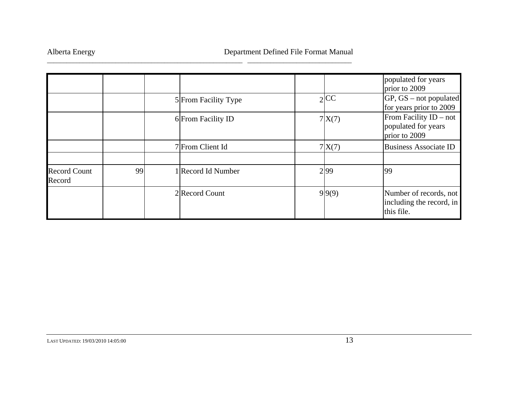|                               |    |                      |        | populated for years<br>prior to 2009                             |
|-------------------------------|----|----------------------|--------|------------------------------------------------------------------|
|                               |    | 5 From Facility Type | $2$ CC | $GP, GS - not populated$<br>for years prior to 2009              |
|                               |    | 6 From Facility ID   | 7X(7)  | From Facility $ID - not$<br>populated for years<br>prior to 2009 |
|                               |    | 7 From Client Id     | 7X(7)  | <b>Business Associate ID</b>                                     |
| <b>Record Count</b><br>Record | 99 | 1 Record Id Number   | 299    | 99                                                               |
|                               |    | 2 Record Count       | 9 9(9) | Number of records, not<br>including the record, in<br>this file. |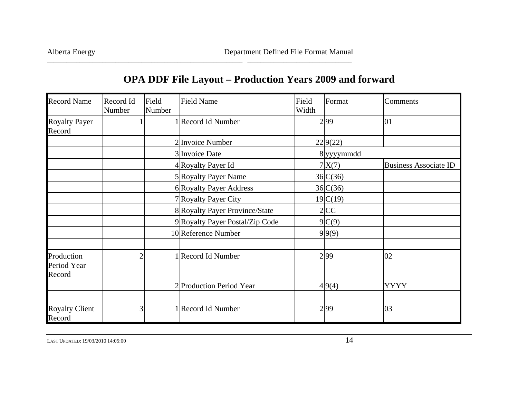| <b>Record Name</b>                  | Record Id<br>Number | Field<br>Number | <b>Field Name</b>               | Field<br>Width | Format     | Comments                     |
|-------------------------------------|---------------------|-----------------|---------------------------------|----------------|------------|------------------------------|
| <b>Royalty Payer</b><br>Record      |                     |                 | 1 Record Id Number              |                | 299        | 01                           |
|                                     |                     |                 | 2 Invoice Number                |                | 229(22)    |                              |
|                                     |                     |                 | 3 Invoice Date                  |                | 8 yyyymmdd |                              |
|                                     |                     |                 | 4 Royalty Payer Id              |                | 7 X(7)     | <b>Business Associate ID</b> |
|                                     |                     |                 | 5 Royalty Payer Name            |                | 36 C(36)   |                              |
|                                     |                     |                 | 6 Royalty Payer Address         |                | 36 C(36)   |                              |
|                                     |                     |                 | 7 Royalty Payer City            |                | 19C(19)    |                              |
|                                     |                     |                 | 8 Royalty Payer Province/State  |                | $2$ CC     |                              |
|                                     |                     |                 | 9 Royalty Payer Postal/Zip Code |                | 9 C(9)     |                              |
|                                     |                     |                 | 10 Reference Number             |                | 9 9(9)     |                              |
|                                     |                     |                 |                                 |                |            |                              |
| Production<br>Period Year<br>Record |                     |                 | 1 Record Id Number              |                | 299        | 02                           |
|                                     |                     |                 | 2 Production Period Year        |                | 4 9(4)     | <b>YYYY</b>                  |
|                                     |                     |                 |                                 |                |            |                              |
| <b>Royalty Client</b><br>Record     | 3                   |                 | 1 Record Id Number              |                | 299        | 03                           |

## **OPA DDF File Layout – Production Years 2009 and forward**

\_\_\_\_\_\_\_\_\_\_\_\_\_\_\_\_\_\_\_\_\_\_\_\_\_\_\_\_\_\_\_\_\_\_\_\_\_\_\_\_\_\_\_\_\_\_\_\_\_\_\_\_\_\_\_\_\_\_\_\_ \_\_\_\_\_\_\_\_\_\_\_\_\_\_\_\_\_\_\_\_\_\_\_\_\_\_\_\_\_\_\_\_

LAST UPDATED: 19/03/20100.14:05:00 **14:05:00** 14:05:00 **14:05:00**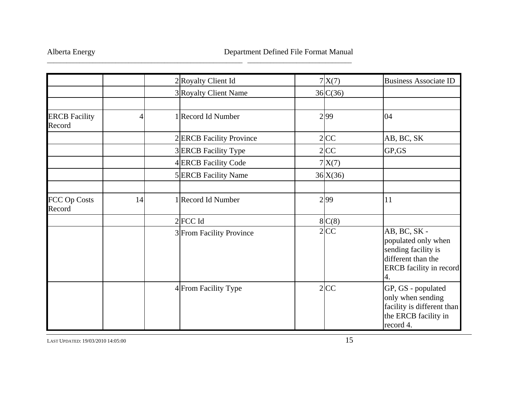|                                |    | 2 Royalty Client Id      | 7X(7)    | <b>Business Associate ID</b>                                                                                |
|--------------------------------|----|--------------------------|----------|-------------------------------------------------------------------------------------------------------------|
|                                |    | 3 Royalty Client Name    | 36 C(36) |                                                                                                             |
| <b>ERCB</b> Facility<br>Record | 4  | 1 Record Id Number       | 2 99     | 04                                                                                                          |
|                                |    | 2ERCB Facility Province  | 2 CC     | AB, BC, SK                                                                                                  |
|                                |    | 3 ERCB Facility Type     | $2$ CC   | GP,GS                                                                                                       |
|                                |    | 4 ERCB Facility Code     | 7X(7)    |                                                                                                             |
|                                |    | 5 ERCB Facility Name     | 36X(36)  |                                                                                                             |
| FCC Op Costs<br>Record         | 14 | 1 Record Id Number       | 2 99     | 11                                                                                                          |
|                                |    | $2$ FCC Id               | 8C(8)    |                                                                                                             |
|                                |    | 3 From Facility Province | $2$ CC   | AB, BC, SK -<br>populated only when<br>sending facility is<br>different than the<br>ERCB facility in record |
|                                |    | 4 From Facility Type     | $2$ CC   | GP, GS - populated<br>only when sending<br>facility is different than<br>the ERCB facility in<br>record 4.  |

\_\_\_\_\_\_\_\_\_\_\_\_\_\_\_\_\_\_\_\_\_\_\_\_\_\_\_\_\_\_\_\_\_\_\_\_\_\_\_\_\_\_\_\_\_\_\_\_\_\_\_\_\_\_\_\_\_\_\_\_ \_\_\_\_\_\_\_\_\_\_\_\_\_\_\_\_\_\_\_\_\_\_\_\_\_\_\_\_\_\_\_\_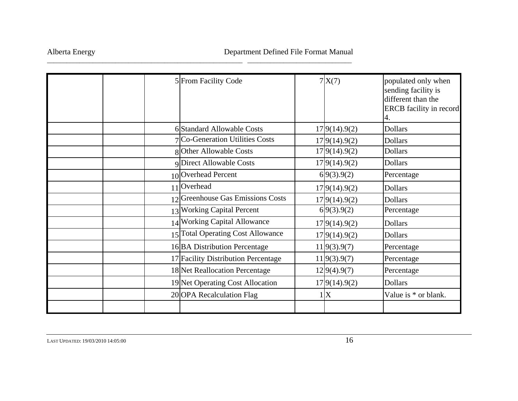|  | 5 From Facility Code                | 7X(7)          | populated only when<br>sending facility is<br>different than the<br><b>ERCB</b> facility in record<br>4. |
|--|-------------------------------------|----------------|----------------------------------------------------------------------------------------------------------|
|  | 6 Standard Allowable Costs          | 17 9(14).9(2)  | <b>Dollars</b>                                                                                           |
|  | 7 Co-Generation Utilities Costs     | 17 9(14).9(2)  | <b>Dollars</b>                                                                                           |
|  | 8 Other Allowable Costs             | 17 9(14).9(2)  | <b>Dollars</b>                                                                                           |
|  | <b>9Direct Allowable Costs</b>      | 17 9(14).9(2)  | <b>Dollars</b>                                                                                           |
|  | 10 Overhead Percent                 | 6 9(3).9(2)    | Percentage                                                                                               |
|  | 11 Overhead                         | 17 9(14).9(2)  | <b>Dollars</b>                                                                                           |
|  | 12 Greenhouse Gas Emissions Costs   | 17 9(14).9(2)  | <b>Dollars</b>                                                                                           |
|  | 13 Working Capital Percent          | 6 9(3).9(2)    | Percentage                                                                                               |
|  | 14 Working Capital Allowance        | 17 9(14).9(2)  | <b>Dollars</b>                                                                                           |
|  | 15 Total Operating Cost Allowance   | 17 9(14).9(2)  | <b>Dollars</b>                                                                                           |
|  | 16 BA Distribution Percentage       | 11 9(3).9(7)   | Percentage                                                                                               |
|  | 17 Facility Distribution Percentage | 11 9(3).9(7)   | Percentage                                                                                               |
|  | 18 Net Reallocation Percentage      | 12 9(4).9(7)   | Percentage                                                                                               |
|  | 19 Net Operating Cost Allocation    | 179(14) . 9(2) | <b>Dollars</b>                                                                                           |
|  | 20 OPA Recalculation Flag           | 1 X            | Value is $*$ or blank.                                                                                   |
|  |                                     |                |                                                                                                          |

\_\_\_\_\_\_\_\_\_\_\_\_\_\_\_\_\_\_\_\_\_\_\_\_\_\_\_\_\_\_\_\_\_\_\_\_\_\_\_\_\_\_\_\_\_\_\_\_\_\_\_\_\_\_\_\_\_\_\_\_ \_\_\_\_\_\_\_\_\_\_\_\_\_\_\_\_\_\_\_\_\_\_\_\_\_\_\_\_\_\_\_\_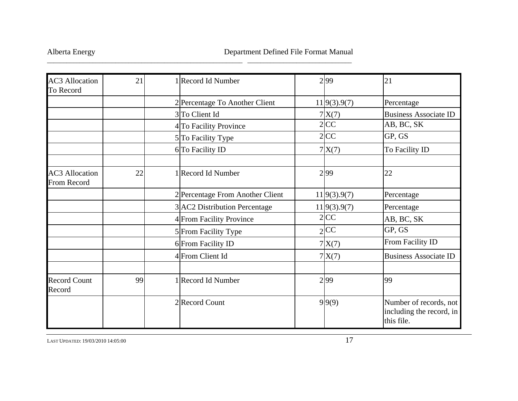| <b>AC3</b> Allocation<br>To Record          | 21 | 1 Record Id Number               | 2 99         | 21                                                               |
|---------------------------------------------|----|----------------------------------|--------------|------------------------------------------------------------------|
|                                             |    | 2 Percentage To Another Client   | 11 9(3).9(7) | Percentage                                                       |
|                                             |    | 3 To Client Id                   | 7X(7)        | <b>Business Associate ID</b>                                     |
|                                             |    | 4 To Facility Province           | 2 CC         | AB, BC, SK                                                       |
|                                             |    | 5 To Facility Type               | 2 CC         | GP, GS                                                           |
|                                             |    | 6 To Facility ID                 | 7X(7)        | To Facility ID                                                   |
| <b>AC3</b> Allocation<br><b>From Record</b> | 22 | 1 Record Id Number               | 2 99         | 22                                                               |
|                                             |    | 2 Percentage From Another Client | 11 9(3).9(7) | Percentage                                                       |
|                                             |    | 3 AC2 Distribution Percentage    | 11 9(3).9(7) | Percentage                                                       |
|                                             |    | 4 From Facility Province         | 2 CC         | AB, BC, SK                                                       |
|                                             |    | 5 From Facility Type             | 2 CC         | GP, GS                                                           |
|                                             |    | 6 From Facility ID               | 7X(7)        | From Facility ID                                                 |
|                                             |    | 4 From Client Id                 | 7X(7)        | <b>Business Associate ID</b>                                     |
| <b>Record Count</b><br>Record               | 99 | 1 Record Id Number               | 2 99         | 99                                                               |
|                                             |    | 2Record Count                    | 9 9(9)       | Number of records, not<br>including the record, in<br>this file. |

\_\_\_\_\_\_\_\_\_\_\_\_\_\_\_\_\_\_\_\_\_\_\_\_\_\_\_\_\_\_\_\_\_\_\_\_\_\_\_\_\_\_\_\_\_\_\_\_\_\_\_\_\_\_\_\_\_\_\_\_ \_\_\_\_\_\_\_\_\_\_\_\_\_\_\_\_\_\_\_\_\_\_\_\_\_\_\_\_\_\_\_\_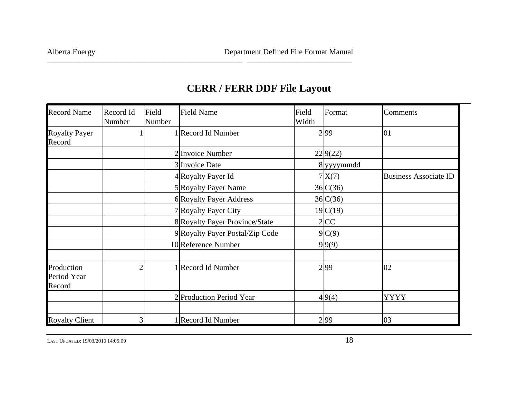| <b>Record Name</b>                  | Record Id<br>Number | Field<br>Number | <b>Field Name</b>               | Field<br>Width | Format     | Comments                     |
|-------------------------------------|---------------------|-----------------|---------------------------------|----------------|------------|------------------------------|
| <b>Royalty Payer</b><br>Record      |                     |                 | 1 Record Id Number              |                | 299        | 01                           |
|                                     |                     |                 | 2 Invoice Number                |                | 229(22)    |                              |
|                                     |                     |                 | 3 Invoice Date                  |                | 8 yyyymmdd |                              |
|                                     |                     |                 | 4 Royalty Payer Id              |                | 7X(7)      | <b>Business Associate ID</b> |
|                                     |                     |                 | 5 Royalty Payer Name            |                | 36 C(36)   |                              |
|                                     |                     |                 | 6 Royalty Payer Address         |                | 36 C(36)   |                              |
|                                     |                     |                 | 7 Royalty Payer City            |                | 19 C(19)   |                              |
|                                     |                     |                 | 8 Royalty Payer Province/State  |                | $2$ CC     |                              |
|                                     |                     |                 | 9 Royalty Payer Postal/Zip Code |                | 9 C(9)     |                              |
|                                     |                     |                 | 10 Reference Number             |                | 9 9(9)     |                              |
| Production<br>Period Year<br>Record | $\overline{2}$      |                 | 1 Record Id Number              |                | 299        | 02                           |
|                                     |                     |                 | 2 Production Period Year        |                | 4 9(4)     | <b>YYYY</b>                  |
| <b>Royalty Client</b>               | 3                   |                 | 1 Record Id Number              |                | 2 99       | 03                           |

## **CERR / FERR DDF File Layout**

\_\_\_\_\_\_\_\_\_\_\_\_\_\_\_\_\_\_\_\_\_\_\_\_\_\_\_\_\_\_\_\_\_\_\_\_\_\_\_\_\_\_\_\_\_\_\_\_\_\_\_\_\_\_\_\_\_\_\_\_ \_\_\_\_\_\_\_\_\_\_\_\_\_\_\_\_\_\_\_\_\_\_\_\_\_\_\_\_\_\_\_\_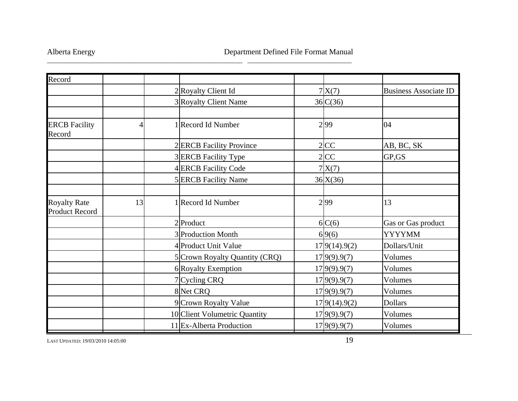| Record                                       |    |                                 |                |                              |
|----------------------------------------------|----|---------------------------------|----------------|------------------------------|
|                                              |    | 2 Royalty Client Id             | 7X(7)          | <b>Business Associate ID</b> |
|                                              |    | 3 Royalty Client Name           | 36 C(36)       |                              |
|                                              |    |                                 |                |                              |
| <b>ERCB</b> Facility<br>Record               | 4  | 1 Record Id Number              | 2 99           | 04                           |
|                                              |    | 2 <b>ERCB</b> Facility Province | 2 CC           | AB, BC, SK                   |
|                                              |    | 3 <b>ERCB</b> Facility Type     | $2$ CC         | GP,GS                        |
|                                              |    | 4 ERCB Facility Code            | 7X(7)          |                              |
|                                              |    | 5 ERCB Facility Name            | 36 X(36)       |                              |
|                                              |    |                                 |                |                              |
| <b>Royalty Rate</b><br><b>Product Record</b> | 13 | 1 Record Id Number              | 2 99           | 13                           |
|                                              |    | 2Product                        | 6 C(6)         | Gas or Gas product           |
|                                              |    | 3 Production Month              | 69(6)          | <b>YYYYMM</b>                |
|                                              |    | 4 Product Unit Value            | 17 9(14).9(2)  | Dollars/Unit                 |
|                                              |    | 5 Crown Royalty Quantity (CRQ)  | 17 9(9) . 9(7) | Volumes                      |
|                                              |    | 6 Royalty Exemption             | 17 9(9).9(7)   | Volumes                      |
|                                              |    | 7 Cycling CRQ                   | 17 9(9).9(7)   | Volumes                      |
|                                              |    | 8 Net CRQ                       | 17 9(9).9(7)   | Volumes                      |
|                                              |    | 9 Crown Royalty Value           | 17 9(14).9(2)  | <b>Dollars</b>               |
|                                              |    | 10 Client Volumetric Quantity   | 17 9(9).9(7)   | Volumes                      |
|                                              |    | 11 Ex-Alberta Production        | 17 9(9).9(7)   | Volumes                      |

\_\_\_\_\_\_\_\_\_\_\_\_\_\_\_\_\_\_\_\_\_\_\_\_\_\_\_\_\_\_\_\_\_\_\_\_\_\_\_\_\_\_\_\_\_\_\_\_\_\_\_\_\_\_\_\_\_\_\_\_ \_\_\_\_\_\_\_\_\_\_\_\_\_\_\_\_\_\_\_\_\_\_\_\_\_\_\_\_\_\_\_\_

LAST UPDATED: 19/03/20100.14:05:00 **19.14:05:00 19.14:05:00**